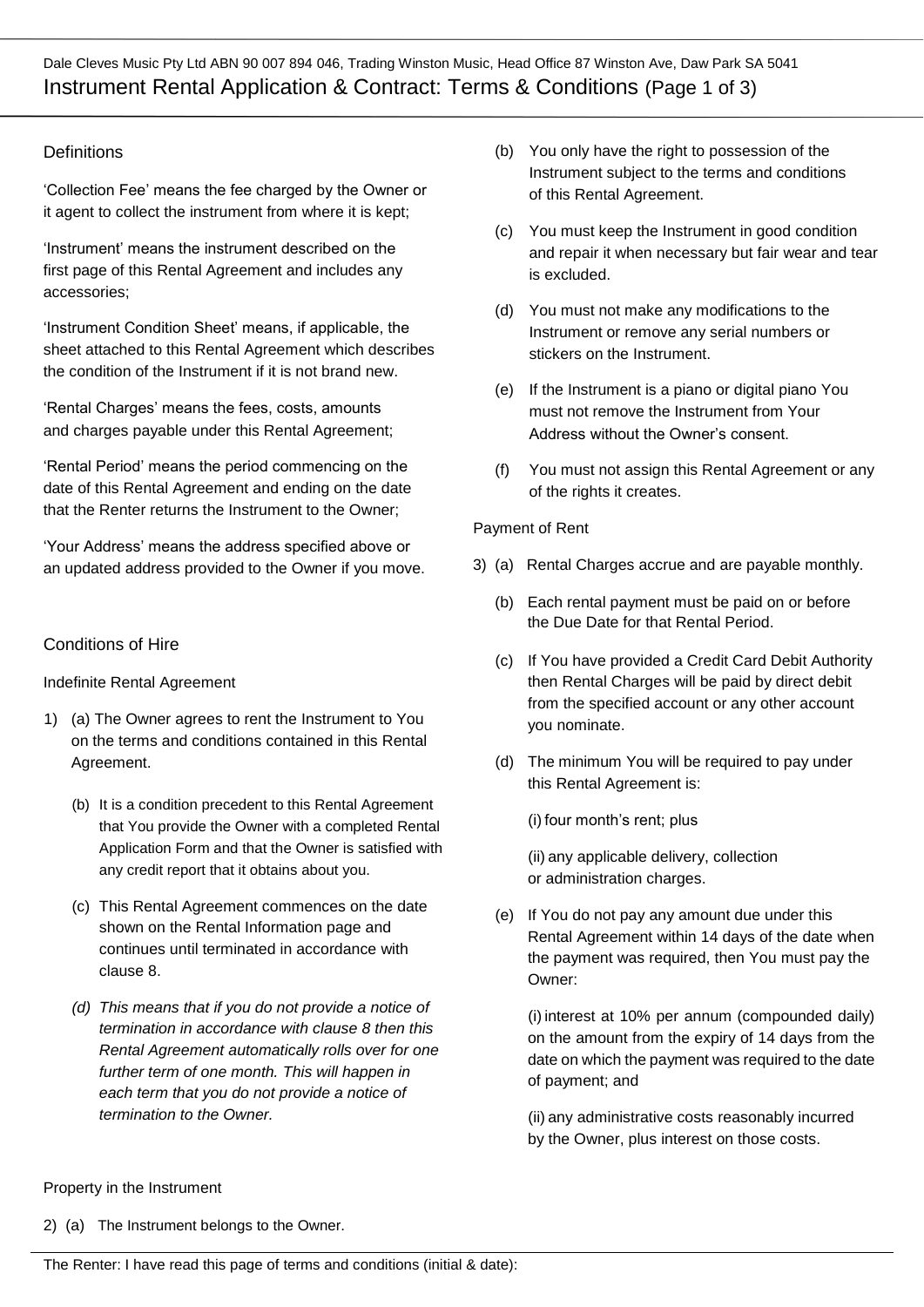Dale Cleves Music Pty Ltd ABN 90 007 894 046, Trading Winston Music, Head Office 87 Winston Ave, Daw Park SA 5041 Instrument Rental Application & Contract: Terms & Conditions (Page 1 of 3)

# **Definitions**

'Collection Fee' means the fee charged by the Owner or it agent to collect the instrument from where it is kept;

'Instrument' means the instrument described on the first page of this Rental Agreement and includes any accessories;

'Instrument Condition Sheet' means, if applicable, the sheet attached to this Rental Agreement which describes the condition of the Instrument if it is not brand new.

'Rental Charges' means the fees, costs, amounts and charges payable under this Rental Agreement;

'Rental Period' means the period commencing on the date of this Rental Agreement and ending on the date that the Renter returns the Instrument to the Owner;

'Your Address' means the address specified above or an updated address provided to the Owner if you move.

## Conditions of Hire

#### Indefinite Rental Agreement

- 1) (a) The Owner agrees to rent the Instrument to You on the terms and conditions contained in this Rental Agreement.
	- (b) It is a condition precedent to this Rental Agreement that You provide the Owner with a completed Rental Application Form and that the Owner is satisfied with any credit report that it obtains about you.
	- (c) This Rental Agreement commences on the date shown on the Rental Information page and continues until terminated in accordance with clause 8.
	- *(d) This means that if you do not provide a notice of termination in accordance with clause 8 then this Rental Agreement automatically rolls over for one further term of one month. This will happen in each term that you do not provide a notice of termination to the Owner.*
- (b) You only have the right to possession of the Instrument subject to the terms and conditions of this Rental Agreement.
- (c) You must keep the Instrument in good condition and repair it when necessary but fair wear and tear is excluded.
- (d) You must not make any modifications to the Instrument or remove any serial numbers or stickers on the Instrument.
- (e) If the Instrument is a piano or digital piano You must not remove the Instrument from Your Address without the Owner's consent.
- (f) You must not assign this Rental Agreement or any of the rights it creates.

#### Payment of Rent

- 3) (a) Rental Charges accrue and are payable monthly.
	- (b) Each rental payment must be paid on or before the Due Date for that Rental Period.
	- (c) If You have provided a Credit Card Debit Authority then Rental Charges will be paid by direct debit from the specified account or any other account you nominate.
	- (d) The minimum You will be required to pay under this Rental Agreement is:

(i) four month's rent; plus

(ii) any applicable delivery, collection or administration charges.

(e) If You do not pay any amount due under this Rental Agreement within 14 days of the date when the payment was required, then You must pay the Owner:

(i) interest at 10% per annum (compounded daily) on the amount from the expiry of 14 days from the date on which the payment was required to the date of payment; and

(ii) any administrative costs reasonably incurred by the Owner, plus interest on those costs.

Property in the Instrument

2) (a) The Instrument belongs to the Owner.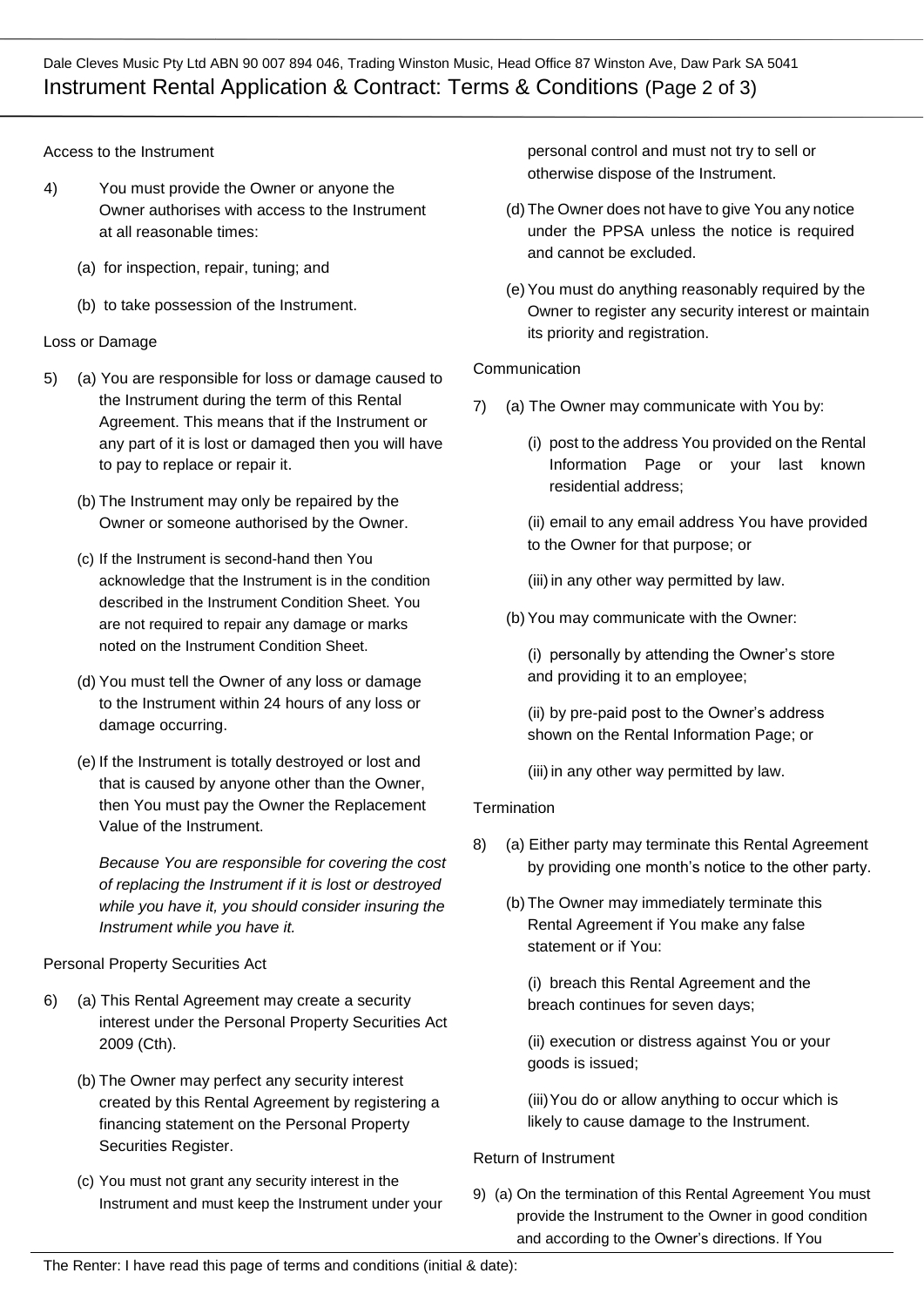Dale Cleves Music Pty Ltd ABN 90 007 894 046, Trading Winston Music, Head Office 87 Winston Ave, Daw Park SA 5041 Instrument Rental Application & Contract: Terms & Conditions (Page 2 of 3)

Access to the Instrument

- 4) You must provide the Owner or anyone the Owner authorises with access to the Instrument at all reasonable times:
	- (a) for inspection, repair, tuning; and
	- (b) to take possession of the Instrument.

#### Loss or Damage

- 5) (a) You are responsible for loss or damage caused to the Instrument during the term of this Rental Agreement. This means that if the Instrument or any part of it is lost or damaged then you will have to pay to replace or repair it.
	- (b) The Instrument may only be repaired by the Owner or someone authorised by the Owner.
	- (c) If the Instrument is second-hand then You acknowledge that the Instrument is in the condition described in the Instrument Condition Sheet. You are not required to repair any damage or marks noted on the Instrument Condition Sheet.
	- (d) You must tell the Owner of any loss or damage to the Instrument within 24 hours of any loss or damage occurring.
	- (e) If the Instrument is totally destroyed or lost and that is caused by anyone other than the Owner, then You must pay the Owner the Replacement Value of the Instrument.

*Because You are responsible for covering the cost of replacing the Instrument if it is lost or destroyed while you have it, you should consider insuring the Instrument while you have it.*

Personal Property Securities Act

- 6) (a) This Rental Agreement may create a security interest under the Personal Property Securities Act 2009 (Cth).
	- (b) The Owner may perfect any security interest created by this Rental Agreement by registering a financing statement on the Personal Property Securities Register.
	- (c) You must not grant any security interest in the Instrument and must keep the Instrument under your

personal control and must not try to sell or otherwise dispose of the Instrument.

- (d) The Owner does not have to give You any notice under the PPSA unless the notice is required and cannot be excluded.
- (e)You must do anything reasonably required by the Owner to register any security interest or maintain its priority and registration.

#### Communication

- 7) (a) The Owner may communicate with You by:
	- (i) post to the address You provided on the Rental Information Page or your last known residential address;
	- (ii) email to any email address You have provided to the Owner for that purpose; or
	- (iii) in any other way permitted by law.
	- (b)You may communicate with the Owner:

(i) personally by attending the Owner's store and providing it to an employee;

(ii) by pre-paid post to the Owner's address shown on the Rental Information Page; or

(iii) in any other way permitted by law.

## **Termination**

- 8) (a) Either party may terminate this Rental Agreement by providing one month's notice to the other party.
	- (b) The Owner may immediately terminate this Rental Agreement if You make any false statement or if You:

(i) breach this Rental Agreement and the breach continues for seven days;

(ii) execution or distress against You or your goods is issued;

(iii)You do or allow anything to occur which is likely to cause damage to the Instrument.

## Return of Instrument

9) (a) On the termination of this Rental Agreement You must provide the Instrument to the Owner in good condition and according to the Owner's directions. If You